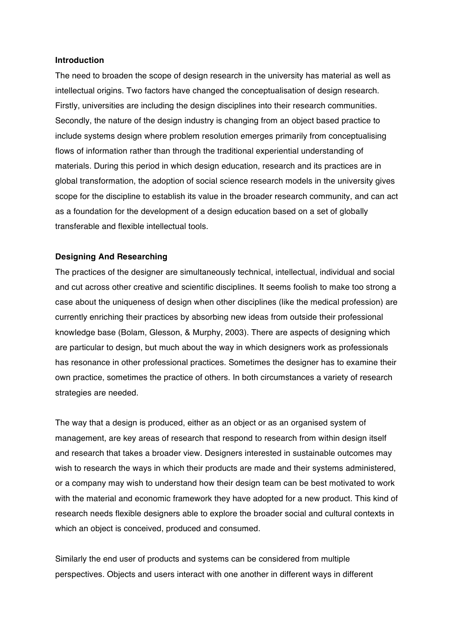### **Introduction**

The need to broaden the scope of design research in the university has material as well as intellectual origins. Two factors have changed the conceptualisation of design research. Firstly, universities are including the design disciplines into their research communities. Secondly, the nature of the design industry is changing from an object based practice to include systems design where problem resolution emerges primarily from conceptualising flows of information rather than through the traditional experiential understanding of materials. During this period in which design education, research and its practices are in global transformation, the adoption of social science research models in the university gives scope for the discipline to establish its value in the broader research community, and can act as a foundation for the development of a design education based on a set of globally transferable and flexible intellectual tools.

# **Designing And Researching**

The practices of the designer are simultaneously technical, intellectual, individual and social and cut across other creative and scientific disciplines. It seems foolish to make too strong a case about the uniqueness of design when other disciplines (like the medical profession) are currently enriching their practices by absorbing new ideas from outside their professional knowledge base (Bolam, Glesson, & Murphy, 2003). There are aspects of designing which are particular to design, but much about the way in which designers work as professionals has resonance in other professional practices. Sometimes the designer has to examine their own practice, sometimes the practice of others. In both circumstances a variety of research strategies are needed.

The way that a design is produced, either as an object or as an organised system of management, are key areas of research that respond to research from within design itself and research that takes a broader view. Designers interested in sustainable outcomes may wish to research the ways in which their products are made and their systems administered, or a company may wish to understand how their design team can be best motivated to work with the material and economic framework they have adopted for a new product. This kind of research needs flexible designers able to explore the broader social and cultural contexts in which an object is conceived, produced and consumed.

Similarly the end user of products and systems can be considered from multiple perspectives. Objects and users interact with one another in different ways in different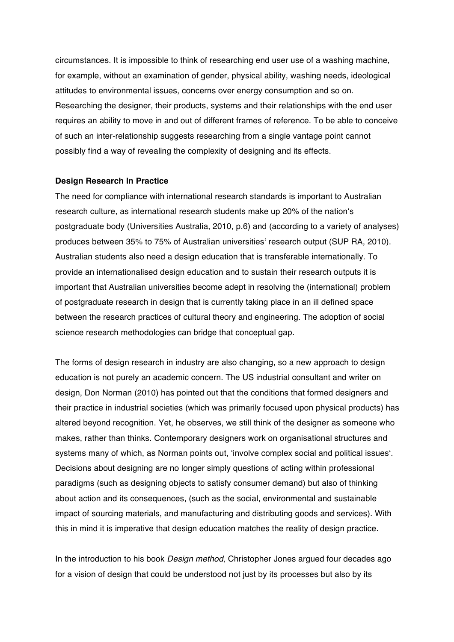circumstances. It is impossible to think of researching end user use of a washing machine, for example, without an examination of gender, physical ability, washing needs, ideological attitudes to environmental issues, concerns over energy consumption and so on. Researching the designer, their products, systems and their relationships with the end user requires an ability to move in and out of different frames of reference. To be able to conceive of such an inter-relationship suggests researching from a single vantage point cannot possibly find a way of revealing the complexity of designing and its effects.

#### **Design Research In Practice**

The need for compliance with international research standards is important to Australian research culture, as international research students make up 20% of the nation's postgraduate body (Universities Australia, 2010*,* p.6) and (according to a variety of analyses) produces between 35% to 75% of Australian universities' research output (SUP RA, 2010). Australian students also need a design education that is transferable internationally. To provide an internationalised design education and to sustain their research outputs it is important that Australian universities become adept in resolving the (international) problem of postgraduate research in design that is currently taking place in an ill defined space between the research practices of cultural theory and engineering. The adoption of social science research methodologies can bridge that conceptual gap.

The forms of design research in industry are also changing, so a new approach to design education is not purely an academic concern. The US industrial consultant and writer on design, Don Norman (2010) has pointed out that the conditions that formed designers and their practice in industrial societies (which was primarily focused upon physical products) has altered beyond recognition. Yet, he observes, we still think of the designer as someone who makes, rather than thinks. Contemporary designers work on organisational structures and systems many of which, as Norman points out, 'involve complex social and political issues'. Decisions about designing are no longer simply questions of acting within professional paradigms (such as designing objects to satisfy consumer demand) but also of thinking about action and its consequences, (such as the social, environmental and sustainable impact of sourcing materials, and manufacturing and distributing goods and services). With this in mind it is imperative that design education matches the reality of design practice.

In the introduction to his book *Design method,* Christopher Jones argued four decades ago for a vision of design that could be understood not just by its processes but also by its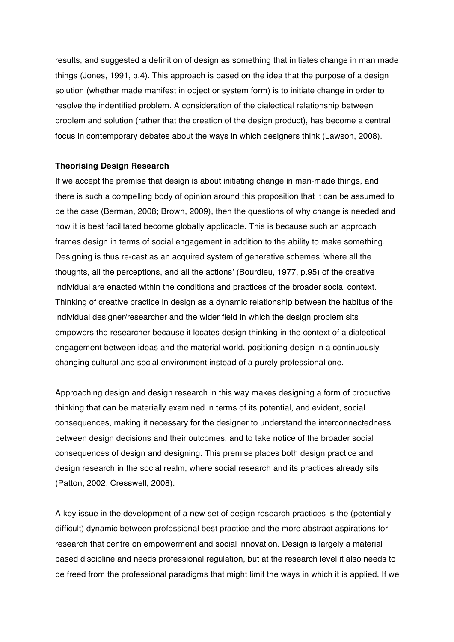results, and suggested a definition of design as something that initiates change in man made things (Jones, 1991, p.4). This approach is based on the idea that the purpose of a design solution (whether made manifest in object or system form) is to initiate change in order to resolve the indentified problem. A consideration of the dialectical relationship between problem and solution (rather that the creation of the design product), has become a central focus in contemporary debates about the ways in which designers think (Lawson, 2008).

# **Theorising Design Research**

If we accept the premise that design is about initiating change in man-made things, and there is such a compelling body of opinion around this proposition that it can be assumed to be the case (Berman, 2008; Brown, 2009), then the questions of why change is needed and how it is best facilitated become globally applicable. This is because such an approach frames design in terms of social engagement in addition to the ability to make something. Designing is thus re-cast as an acquired system of generative schemes 'where all the thoughts, all the perceptions, and all the actions' (Bourdieu, 1977, p.95) of the creative individual are enacted within the conditions and practices of the broader social context. Thinking of creative practice in design as a dynamic relationship between the habitus of the individual designer/researcher and the wider field in which the design problem sits empowers the researcher because it locates design thinking in the context of a dialectical engagement between ideas and the material world, positioning design in a continuously changing cultural and social environment instead of a purely professional one.

Approaching design and design research in this way makes designing a form of productive thinking that can be materially examined in terms of its potential, and evident, social consequences, making it necessary for the designer to understand the interconnectedness between design decisions and their outcomes, and to take notice of the broader social consequences of design and designing. This premise places both design practice and design research in the social realm, where social research and its practices already sits (Patton, 2002; Cresswell, 2008).

A key issue in the development of a new set of design research practices is the (potentially difficult) dynamic between professional best practice and the more abstract aspirations for research that centre on empowerment and social innovation. Design is largely a material based discipline and needs professional regulation, but at the research level it also needs to be freed from the professional paradigms that might limit the ways in which it is applied. If we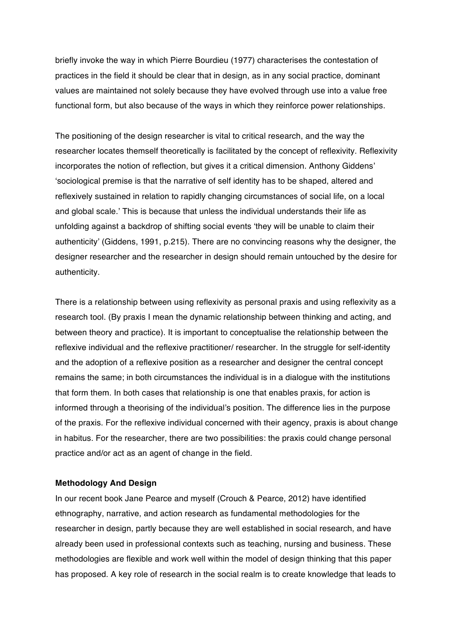briefly invoke the way in which Pierre Bourdieu (1977) characterises the contestation of practices in the field it should be clear that in design, as in any social practice, dominant values are maintained not solely because they have evolved through use into a value free functional form, but also because of the ways in which they reinforce power relationships.

The positioning of the design researcher is vital to critical research, and the way the researcher locates themself theoretically is facilitated by the concept of reflexivity. Reflexivity incorporates the notion of reflection, but gives it a critical dimension. Anthony Giddens' 'sociological premise is that the narrative of self identity has to be shaped, altered and reflexively sustained in relation to rapidly changing circumstances of social life, on a local and global scale.' This is because that unless the individual understands their life as unfolding against a backdrop of shifting social events 'they will be unable to claim their authenticity' (Giddens, 1991, p.215). There are no convincing reasons why the designer, the designer researcher and the researcher in design should remain untouched by the desire for authenticity.

There is a relationship between using reflexivity as personal praxis and using reflexivity as a research tool. (By praxis I mean the dynamic relationship between thinking and acting, and between theory and practice). It is important to conceptualise the relationship between the reflexive individual and the reflexive practitioner/ researcher. In the struggle for self-identity and the adoption of a reflexive position as a researcher and designer the central concept remains the same; in both circumstances the individual is in a dialogue with the institutions that form them. In both cases that relationship is one that enables praxis, for action is informed through a theorising of the individual's position. The difference lies in the purpose of the praxis. For the reflexive individual concerned with their agency, praxis is about change in habitus. For the researcher, there are two possibilities: the praxis could change personal practice and/or act as an agent of change in the field.

#### **Methodology And Design**

In our recent book Jane Pearce and myself (Crouch & Pearce, 2012) have identified ethnography, narrative, and action research as fundamental methodologies for the researcher in design, partly because they are well established in social research, and have already been used in professional contexts such as teaching, nursing and business. These methodologies are flexible and work well within the model of design thinking that this paper has proposed. A key role of research in the social realm is to create knowledge that leads to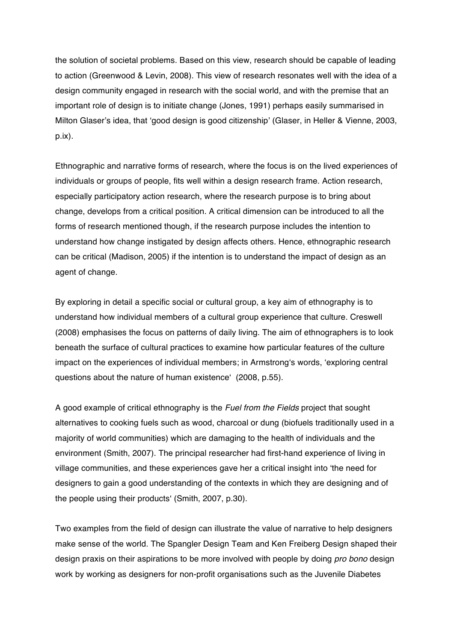the solution of societal problems. Based on this view, research should be capable of leading to action (Greenwood & Levin, 2008). This view of research resonates well with the idea of a design community engaged in research with the social world, and with the premise that an important role of design is to initiate change (Jones, 1991) perhaps easily summarised in Milton Glaser's idea, that 'good design is good citizenship' (Glaser, in Heller & Vienne, 2003, p.ix).

Ethnographic and narrative forms of research, where the focus is on the lived experiences of individuals or groups of people, fits well within a design research frame. Action research, especially participatory action research, where the research purpose is to bring about change, develops from a critical position. A critical dimension can be introduced to all the forms of research mentioned though, if the research purpose includes the intention to understand how change instigated by design affects others. Hence, ethnographic research can be critical (Madison, 2005) if the intention is to understand the impact of design as an agent of change.

By exploring in detail a specific social or cultural group, a key aim of ethnography is to understand how individual members of a cultural group experience that culture. Creswell (2008) emphasises the focus on patterns of daily living. The aim of ethnographers is to look beneath the surface of cultural practices to examine how particular features of the culture impact on the experiences of individual members; in Armstrong's words, 'exploring central questions about the nature of human existence' (2008, p.55).

A good example of critical ethnography is the *Fuel from the Fields* project that sought alternatives to cooking fuels such as wood, charcoal or dung (biofuels traditionally used in a majority of world communities) which are damaging to the health of individuals and the environment (Smith, 2007). The principal researcher had first-hand experience of living in village communities, and these experiences gave her a critical insight into 'the need for designers to gain a good understanding of the contexts in which they are designing and of the people using their products' (Smith, 2007, p.30).

Two examples from the field of design can illustrate the value of narrative to help designers make sense of the world. The Spangler Design Team and Ken Freiberg Design shaped their design praxis on their aspirations to be more involved with people by doing *pro bono* design work by working as designers for non-profit organisations such as the Juvenile Diabetes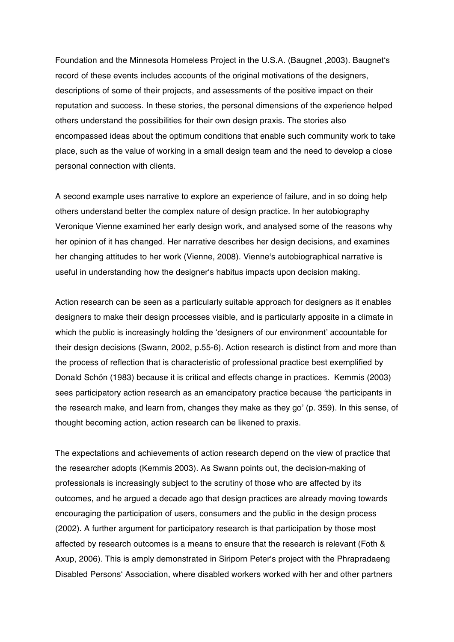Foundation and the Minnesota Homeless Project in the U.S.A. (Baugnet, 2003). Baugnet's record of these events includes accounts of the original motivations of the designers, descriptions of some of their projects, and assessments of the positive impact on their reputation and success. In these stories, the personal dimensions of the experience helped others understand the possibilities for their own design praxis. The stories also encompassed ideas about the optimum conditions that enable such community work to take place, such as the value of working in a small design team and the need to develop a close personal connection with clients.

A second example uses narrative to explore an experience of failure, and in so doing help others understand better the complex nature of design practice. In her autobiography Veronique Vienne examined her early design work, and analysed some of the reasons why her opinion of it has changed. Her narrative describes her design decisions, and examines her changing attitudes to her work (Vienne, 2008). Vienne's autobiographical narrative is useful in understanding how the designer's habitus impacts upon decision making.

Action research can be seen as a particularly suitable approach for designers as it enables designers to make their design processes visible, and is particularly apposite in a climate in which the public is increasingly holding the 'designers of our environment' accountable for their design decisions (Swann, 2002, p.55-6). Action research is distinct from and more than the process of reflection that is characteristic of professional practice best exemplified by Donald Schön (1983) because it is critical and effects change in practices. Kemmis (2003) sees participatory action research as an emancipatory practice because 'the participants in the research make, and learn from, changes they make as they go' (p. 359). In this sense, of thought becoming action, action research can be likened to praxis.

The expectations and achievements of action research depend on the view of practice that the researcher adopts (Kemmis 2003). As Swann points out, the decision-making of professionals is increasingly subject to the scrutiny of those who are affected by its outcomes, and he argued a decade ago that design practices are already moving towards encouraging the participation of users, consumers and the public in the design process (2002). A further argument for participatory research is that participation by those most affected by research outcomes is a means to ensure that the research is relevant (Foth & Axup, 2006). This is amply demonstrated in Siriporn Peter's project with the Phrapradaeng Disabled Persons' Association, where disabled workers worked with her and other partners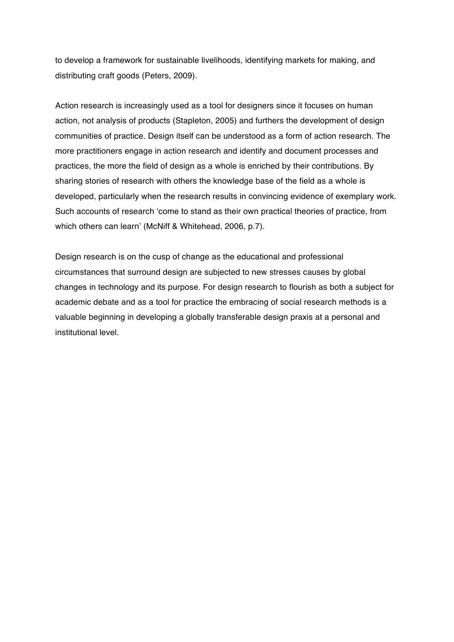to develop a framework for sustainable livelihoods, identifying markets for making, and distributing craft goods (Peters, 2009).

Action research is increasingly used as a tool for designers since it focuses on human action, not analysis of products (Stapleton, 2005) and furthers the development of design communities of practice. Design itself can be understood as a form of action research. The more practitioners engage in action research and identify and document processes and practices, the more the field of design as a whole is enriched by their contributions. By sharing stories of research with others the knowledge base of the field as a whole is developed, particularly when the research results in convincing evidence of exemplary work. Such accounts of research 'come to stand as their own practical theories of practice, from which others can learn' (McNiff & Whitehead, 2006, p.7).

Design research is on the cusp of change as the educational and professional circumstances that surround design are subjected to new stresses causes by global changes in technology and its purpose. For design research to flourish as both a subject for academic debate and as a tool for practice the embracing of social research methods is a valuable beginning in developing a globally transferable design praxis at a personal and institutional level.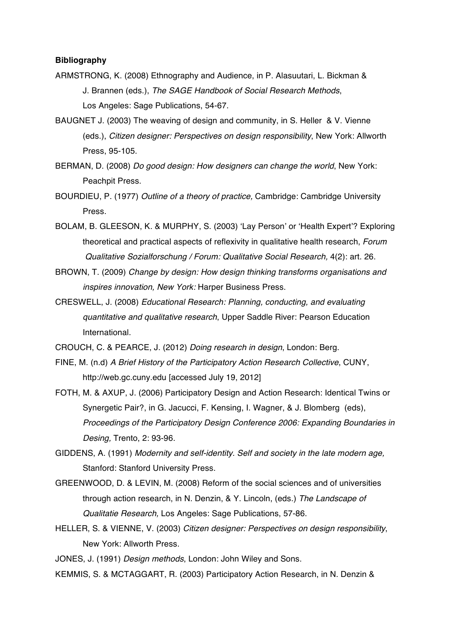# **Bibliography**

- ARMSTRONG, K. (2008) Ethnography and Audience, in P. Alasuutari, L. Bickman & J. Brannen (eds.), *The SAGE Handbook of Social Research Methods*, Los Angeles: Sage Publications, 54-67.
- BAUGNET J. (2003) The weaving of design and community, in S. Heller & V. Vienne (eds.), *Citizen designer: Perspectives on design responsibility*, New York: Allworth Press, 95-105.
- BERMAN, D. (2008) *Do good design: How designers can change the world*, New York: Peachpit Press.
- BOURDIEU, P. (1977) *Outline of a theory of practice,* Cambridge: Cambridge University Press.
- BOLAM, B. GLEESON, K. & MURPHY, S. (2003) 'Lay Person' or 'Health Expert'? Exploring theoretical and practical aspects of reflexivity in qualitative health research, *Forum Qualitative Sozialforschung / Forum: Qualitative Social Research,* 4(2): art. 26.
- BROWN, T. (2009) *Change by design: How design thinking transforms organisations and inspires innovation, New York:* Harper Business Press.
- CRESWELL, J. (2008) *Educational Research: Planning, conducting, and evaluating quantitative and qualitative research*, Upper Saddle River: Pearson Education International.
- CROUCH, C. & PEARCE, J. (2012) *Doing research in design*, London: Berg.
- FINE, M. (n.d) *A Brief History of the Participatory Action Research Collective*, CUNY, http://web.gc.cuny.edu [accessed July 19, 2012]
- FOTH, M. & AXUP, J. (2006) Participatory Design and Action Research: Identical Twins or Synergetic Pair?, in G. Jacucci, F. Kensing, I. Wagner, & J. Blomberg (eds), *Proceedings of the Participatory Design Conference 2006: Expanding Boundaries in Desing,* Trento, 2: 93-96.
- GIDDENS, A. (1991) *Modernity and self-identity. Self and society in the late modern age,* Stanford: Stanford University Press.
- GREENWOOD, D. & LEVIN, M. (2008) Reform of the social sciences and of universities through action research, in N. Denzin, & Y. Lincoln, (eds.) *The Landscape of Qualitatie Research,* Los Angeles: Sage Publications, 57-86.
- HELLER, S. & VIENNE, V. (2003) *Citizen designer: Perspectives on design responsibility*, New York: Allworth Press.

JONES, J. (1991) *Design methods*, London: John Wiley and Sons.

KEMMIS, S. & MCTAGGART, R. (2003) Participatory Action Research, in N. Denzin &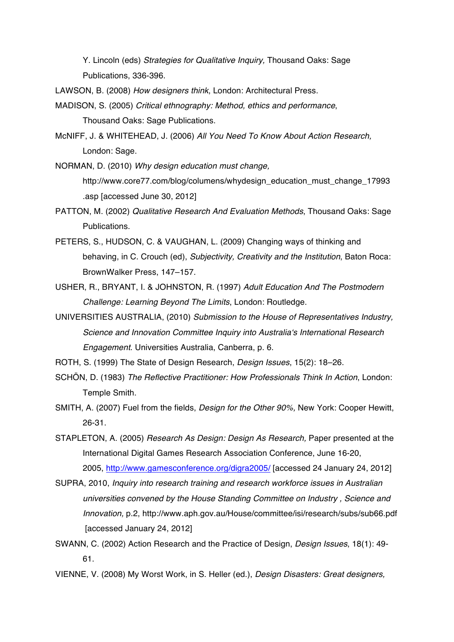Y. Lincoln (eds) *Strategies for Qualitative Inquiry,* Thousand Oaks: Sage Publications, 336-396.

LAWSON, B. (2008) *How designers think*, London: Architectural Press.

- MADISON, S. (2005) *Critical ethnography: Method, ethics and performance*, Thousand Oaks: Sage Publications.
- McNIFF, J. & WHITEHEAD, J. (2006) *All You Need To Know About Action Research,* London: Sage.

NORMAN, D. (2010) *Why design education must change,* http://www.core77.com/blog/columens/whydesign\_education\_must\_change\_17993 .asp [accessed June 30, 2012]

- PATTON, M. (2002) *Qualitative Research And Evaluation Methods*, Thousand Oaks: Sage Publications.
- PETERS, S., HUDSON, C. & VAUGHAN, L. (2009) Changing ways of thinking and behaving, in C. Crouch (ed), *Subjectivity, Creativity and the Institution*, Baton Roca: BrownWalker Press, 147–157.
- USHER, R., BRYANT, I. & JOHNSTON, R. (1997) *Adult Education And The Postmodern Challenge: Learning Beyond The Limits*, London: Routledge.
- UNIVERSITIES AUSTRALIA, (2010) *Submission to the House of Representatives Industry, Science and Innovation Committee Inquiry into Australia's International Research Engagement*. Universities Australia, Canberra, p. 6.
- ROTH, S. (1999) The State of Design Research, *Design Issues*, 15(2): 18–26.
- SCHÖN, D. (1983) *The Reflective Practitioner: How Professionals Think In Action*, London: Temple Smith.
- SMITH, A. (2007) Fuel from the fields, *Design for the Other 90%,* New York: Cooper Hewitt, 26-31.

STAPLETON, A. (2005) *Research As Design: Design As Research,* Paper presented at the International Digital Games Research Association Conference, June 16-20, 2005, http://www.gamesconference.org/digra2005/ [accessed 24 January 24, 2012]

- SUPRA, 2010, *Inquiry into research training and research workforce issues in Australian universities convened by the House Standing Committee on Industry , Science and Innovation,* p.2, http://www.aph.gov.au/House/committee/isi/research/subs/sub66.pdf [accessed January 24, 2012]
- SWANN, C. (2002) Action Research and the Practice of Design, *Design Issues*, 18(1): 49- 61.
- VIENNE, V. (2008) My Worst Work, in S. Heller (ed.), *Design Disasters: Great designers,*